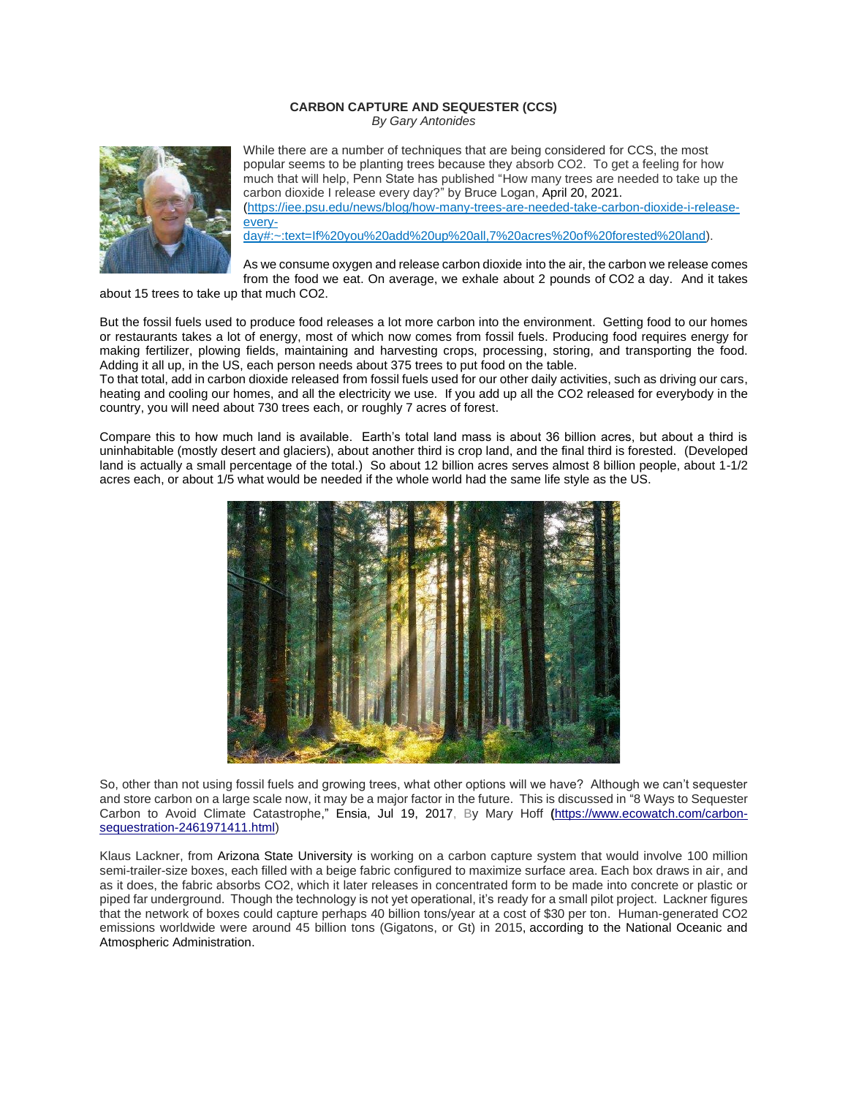## **CARBON CAPTURE AND SEQUESTER (CCS)**

*By Gary Antonides*



While there are a number of techniques that are being considered for CCS, the most popular seems to be planting trees because they absorb CO2. To get a feeling for how much that will help, Penn State has published "How many trees are needed to take up the carbon dioxide I release every day?" by Bruce Logan, April 20, 2021. (https://iee.psu.edu/news/blog/how-many-trees-are-needed-take-carbon-dioxide-i-releaseevery-

day#:~:text=If%20you%20add%20up%20all,7%20acres%20of%20forested%20land).

As we consume oxygen and release carbon dioxide into the air, the carbon we release comes from the food we eat. On average, we exhale about 2 pounds of CO2 a day. And it takes

about 15 trees to take up that much CO2.

But the fossil fuels used to produce food releases a lot more carbon into the environment. Getting food to our homes or restaurants takes a lot of energy, most of which now comes from fossil fuels. Producing food requires energy for making fertilizer, plowing fields, maintaining and harvesting crops, processing, storing, and transporting the food. Adding it all up, in the US, each person needs about 375 trees to put food on the table.

To that total, add in carbon dioxide released from fossil fuels used for our other daily activities, such as driving our cars, heating and cooling our homes, and all the electricity we use. If you add up all the CO2 released for everybody in the country, you will need about 730 trees each, or roughly 7 acres of forest.

Compare this to how much land is available. Earth's total land mass is about 36 billion acres, but about a third is uninhabitable (mostly desert and glaciers), about another third is crop land, and the final third is forested. (Developed land is actually a small percentage of the total.) So about 12 billion acres serves almost 8 billion people, about 1-1/2 acres each, or about 1/5 what would be needed if the whole world had the same life style as the US.



So, other than not using fossil fuels and growing trees, what other options will we have? Although we can't sequester and store carbon on a large scale now, it may be a major factor in the future. This is discussed in "8 Ways to Sequester Carbon to Avoid Climate Catastrophe," [Ensia,](https://www.ecowatch.com/u/ensia) Jul 19, 2017, By Mary Hoff **(**[https://www.ecowatch.com/carbon](https://www.ecowatch.com/carbon-sequestration-2461971411.html)[sequestration-2461971411.html\)](https://www.ecowatch.com/carbon-sequestration-2461971411.html)

Klaus Lackner, from [Arizona State University](https://cnce.engineering.asu.edu/) is working on a carbon capture system that would involve 100 million semi-trailer-size boxes, each filled with a beige fabric configured to maximize surface area. Each box draws in air, and as it does, the fabric absorbs CO2, which it later releases in concentrated form to be made into concrete or plastic or piped far underground. Though the technology is not yet operational, it's ready for a small pilot project. Lackner figures that the network of boxes could capture perhaps 40 billion tons/year at a cost of \$30 per ton. Human-generated CO2 emissions worldwide were around 45 billion tons (Gigatons, or Gt) in 2015, [according to the National Oceanic and](https://www.climate.gov/news-features/climate-qa/which-emits-more-carbon-dioxide-volcanoes-or-human-activities)  [Atmospheric Administration.](https://www.climate.gov/news-features/climate-qa/which-emits-more-carbon-dioxide-volcanoes-or-human-activities)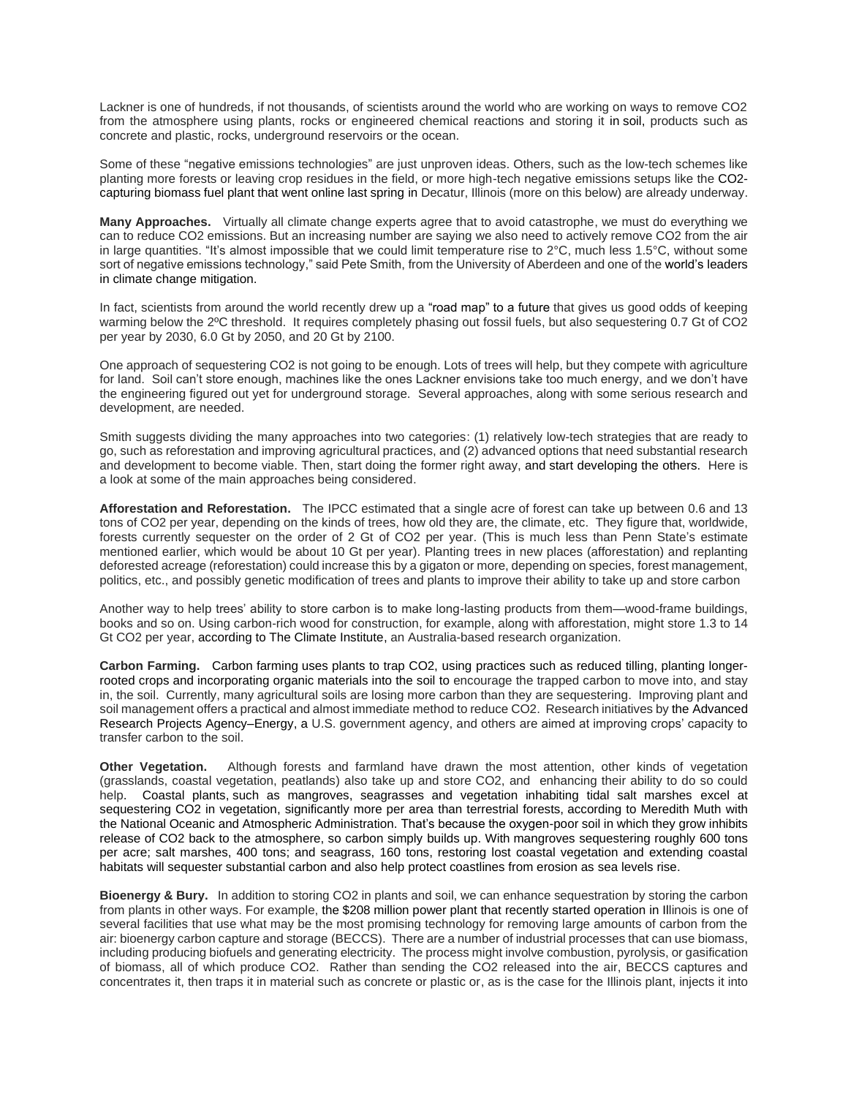Lackner is one of hundreds, if not thousands, of scientists around the world who are working on ways to remove CO2 from the atmosphere using plants, rocks or engineered chemical reactions and storing it in [soil,](http://www.ecowatch.com/tag/soil) products such as concrete and plastic, rocks, underground reservoirs or the ocean.

Some of these "negative emissions technologies" are just unproven ideas. Others, such as the low-tech schemes like planting more forests or leaving crop residues in the field, or more high-tech negative emissions setups like the [CO2](https://www.washingtonpost.com/news/energy-environment/wp/2017/04/10/the-quest-to-capture-and-store-carbon-and-slow-climate-change-just-reached-a-new-milestone/?utm_term=.53fe8781148b) [capturing biomass fuel plant that went online last spring](https://www.washingtonpost.com/news/energy-environment/wp/2017/04/10/the-quest-to-capture-and-store-carbon-and-slow-climate-change-just-reached-a-new-milestone/?utm_term=.53fe8781148b) in Decatur, Illinois (more on this below) are already underway.

**Many Approaches.** Virtually all climate change experts agree that to avoid catastrophe, we must do everything we can to reduce CO2 emissions. But an increasing number are saying we also need to actively remove CO2 from the air in large quantities. "It's almost impossible that we could limit temperature rise to 2°C, much less 1.5°C, without some sort of negative emissions technology," said Pete Smith, from the University of Aberdeen and one of the world's [leaders](https://ensia.com/voices/the-hidden-risk-of-negative-emissions-technologies/)  [in climate change mitigation.](https://ensia.com/voices/the-hidden-risk-of-negative-emissions-technologies/)

In fact, scientists from around the world recently drew up a ["road map" to a future](http://science.sciencemag.org/content/355/6331/1269.full) that gives us good odds of keeping warming below the 2ºC threshold. It requires completely phasing out fossil fuels, but also sequestering 0.7 Gt of CO2 per year by 2030, 6.0 Gt by 2050, and 20 Gt by 2100.

One approach of sequestering CO2 is not going to be enough. Lots of trees will help, but they compete with agriculture for land. Soil can't store enough, machines like the ones Lackner envisions take too much energy, and we don't have the engineering figured out yet for underground storage. Several approaches, along with some serious research and development, are needed.

Smith suggests dividing the many approaches into two categories: (1) relatively low-tech strategies that are ready to go, such as reforestation and improving agricultural practices, and (2) advanced options that need substantial research and development to become viable. Then, start doing the former right away, and start developing [the](http://nas-sites.org/dels/studies/cdr/) others. Here is a look at some of the main approaches being considered.

**Afforestation and Reforestation.** The IPCC estimated that a single acre of forest can take up between 0.6 and 13 tons of CO2 per year, depending on the kinds of trees, how old they are, the climate, etc. They figure that, worldwide, forests currently sequester on the order of 2 Gt of CO2 per year. (This is much less than Penn State's estimate mentioned earlier, which would be about 10 Gt per year). Planting trees in new places (afforestation) and replanting deforested acreage (reforestation) could increase this by a gigaton or more, depending on species, forest management, politics, etc., and possibly genetic modification of trees and plants to improve their ability to take up and store carbon

Another way to help trees' ability to store carbon is to make long-lasting products from them—wood-frame buildings, books and so on. Using carbon-rich wood for construction, for example, along with afforestation, might store 1.3 to 14 Gt CO2 per year, [according to The Climate Institute,](http://www.climateinstitute.org.au/verve/_resources/BelowZero_March2014.pdf) an Australia-based research organization.

**Carbon Farming.** [Carbon farming](https://www.ecowatch.com/carbon-farming-2457937143.html) uses plants to trap CO2, using practices such as reduced [tilling, planting longer](https://ensia.com/features/the-farm-that-grows-climate-solutions/)[rooted crops and incorporating organic materials into the soil](https://ensia.com/features/the-farm-that-grows-climate-solutions/) to encourage the trapped carbon to move into, and stay in, the soil. Currently, many agricultural soils are losing more carbon than they are sequestering. Improving plant and soil management offers a practical and almost immediate method to reduce CO2. Research initiatives by the [Advanced](https://arpa-e.energy.gov/?q=arpa-e-programs/roots)  [Research Projects Agency–Energy,](https://arpa-e.energy.gov/?q=arpa-e-programs/roots) a U.S. government agency, and others are aimed at improving crops' capacity to transfer carbon to the soil.

**Other Vegetation.** Although forests and farmland have drawn the most attention, other kinds of vegetation (grasslands, coastal vegetation, peatlands) also take up and store CO2, and enhancing their ability to do so could help. [Coastal plants,](https://ensia.com/voices/one-of-the-smartest-investments-we-can-make/) such as mangroves, seagrasses and vegetation inhabiting tidal salt marshes excel at sequestering CO2 in vegetation, significantly more per area than terrestrial forests, [according to Meredith Muth](https://vimeo.com/album/4621340/video/220313465) with the National Oceanic and Atmospheric Administration. That's because the oxygen-poor soil in which they grow inhibits release of CO2 back to the atmosphere, so carbon simply builds up. With [mangroves sequestering roughly 600 tons](http://www.cifor.org/publications/pdf_files/Books/BMurdiyarso1401.pdf)  [per acre; salt marshes, 400 tons; and seagrass, 160](http://www.cifor.org/publications/pdf_files/Books/BMurdiyarso1401.pdf) tons, restoring lost coastal vegetation and extending coastal habitats will sequester substantial carbon and also help protect coastlines from erosion a[s sea levels](http://www.ecowatch.com/tag/sea-level-rise) rise.

**Bioenergy & Bury.** In addition to storing CO2 in plants and soil, we can enhance sequestration by storing the carbon from plants in other ways. For example, the [\\$208 million power plant that recently started operation i](https://www.carbonbrief.org/analysis-negative-emissions-tested-worlds-first-major-beccs-facility)n Illinois is one of several facilities that use what may be the most promising technology for removing large amounts of carbon from the air: bioenergy carbon capture and storage (BECCS). There are a number of industrial processes that can use biomass, including producing biofuels and generating electricity. The process might involve combustion, pyrolysis, or gasification of biomass, all of which produce CO2. Rather than sending the CO2 released into the air, BECCS captures and concentrates it, then traps it in material such as concrete or plastic or, as is the case for the Illinois plant, injects it into